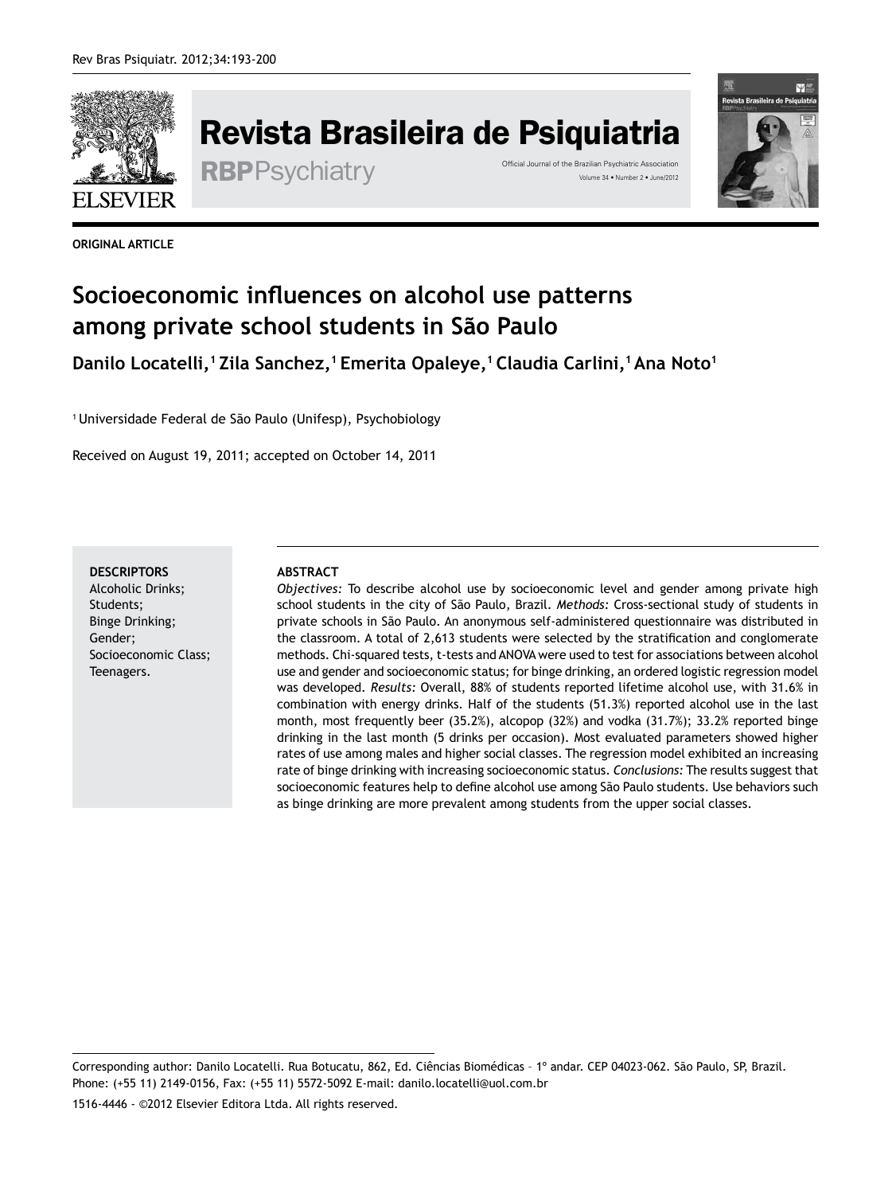

Revista Brasileira de Psiquiatria

RBPPSychiatry <sup>Official Journal of the Brazilian Psychiatric Association</sub><br>Volume 34 • Number 2 • June/2012</sup>



**ORIGINAL ARTICLE**

# **Socioeconomic influences on alcohol use patterns among private school students in São Paulo**

**Danilo Locatelli,<sup>1</sup>Zila Sanchez,<sup>1</sup>Emerita Opaleye,<sup>1</sup>Claudia Carlini,<sup>1</sup>Ana Noto<sup>1</sup>**

<sup>1</sup>Universidade Federal de São Paulo (Unifesp), Psychobiology

Received on August 19, 2011; accepted on October 14, 2011

**DESCRIPTORS** Alcoholic Drinks; Students; Binge Drinking; Gender; Socioeconomic Class; Teenagers.

#### **ABSTRACT**

*Objectives:* To describe alcohol use by socioeconomic level and gender among private high school students in the city of São Paulo, Brazil. *Methods:* Cross-sectional study of students in private schools in São Paulo. An anonymous self-administered questionnaire was distributed in the classroom. A total of 2,613 students were selected by the stratification and conglomerate methods. Chi-squared tests, t-tests and ANOVA were used to test for associations between alcohol use and gender and socioeconomic status; for binge drinking, an ordered logistic regression model was developed. *Results:* Overall, 88% of students reported lifetime alcohol use, with 31.6% in combination with energy drinks. Half of the students (51.3%) reported alcohol use in the last month, most frequently beer (35.2%), alcopop (32%) and vodka (31.7%); 33.2% reported binge drinking in the last month (5 drinks per occasion). Most evaluated parameters showed higher rates of use among males and higher social classes. The regression model exhibited an increasing rate of binge drinking with increasing socioeconomic status. *Conclusions:* The results suggest that socioeconomic features help to define alcohol use among São Paulo students. Use behaviors such as binge drinking are more prevalent among students from the upper social classes.

Corresponding author: Danilo Locatelli. Rua Botucatu, 862, Ed. Ciências Biomédicas – 1º andar. CEP 04023-062. São Paulo, SP, Brazil. Phone: (+55 11) 2149‑0156, Fax: (+55 11) 5572‑5092 E-mail: danilo.locatelli@uol.com.br

1516-4446 - ©2012 Elsevier Editora Ltda. All rights reserved.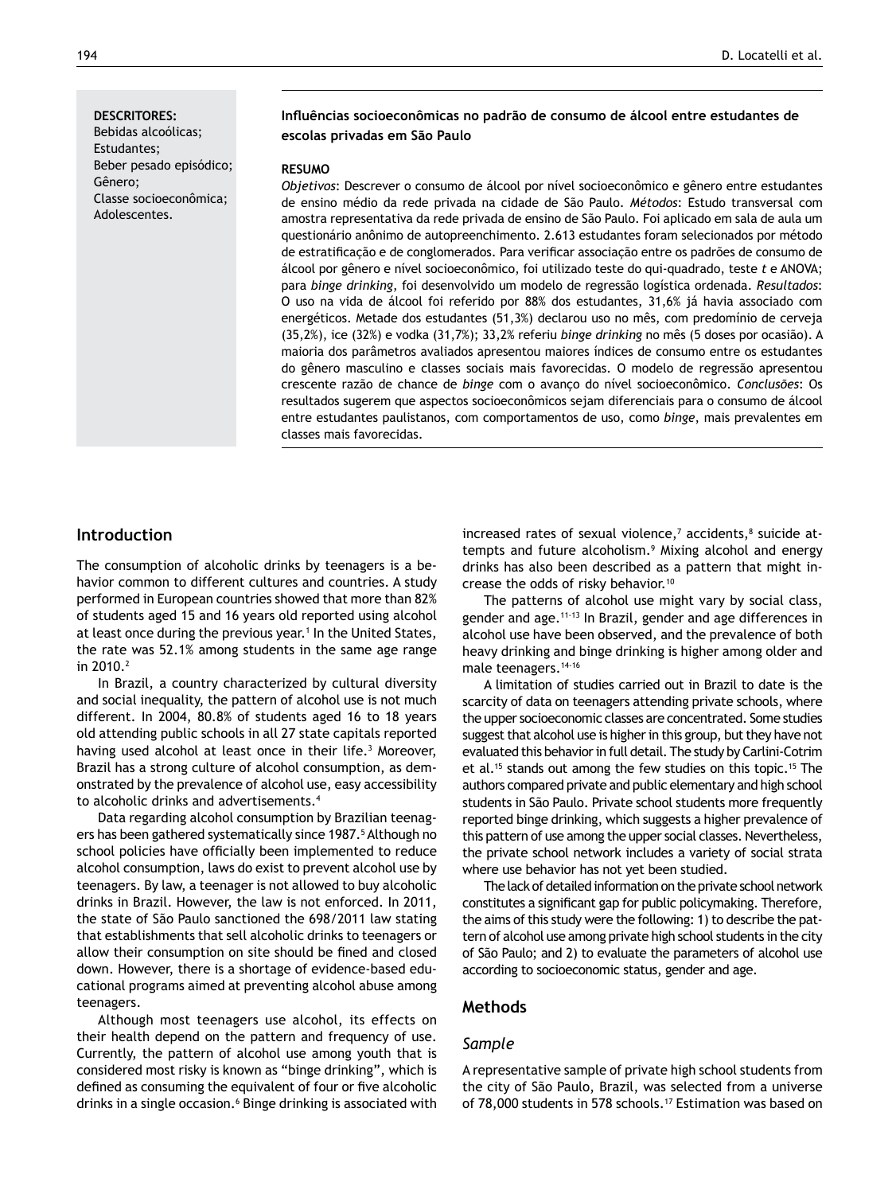#### **DESCRITORES:**

Bebidas alcoólicas; Estudantes; Beber pesado episódico; Gênero; Classe socioeconômica; Adolescentes.

## **Influências socioeconômicas no padrão de consumo de álcool entre estudantes de escolas privadas em São Paulo**

#### **RESUMO**

*Objetivos*: Descrever o consumo de álcool por nível socioeconômico e gênero entre estudantes de ensino médio da rede privada na cidade de São Paulo. *Métodos*: Estudo transversal com amostra representativa da rede privada de ensino de São Paulo. Foi aplicado em sala de aula um questionário anônimo de autopreenchimento. 2.613 estudantes foram selecionados por método de estratificação e de conglomerados. Para verificar associação entre os padrões de consumo de álcool por gênero e nível socioeconômico, foi utilizado teste do qui-quadrado, teste *t* e ANOVA; para *binge drinking*, foi desenvolvido um modelo de regressão logística ordenada. *Resultados*: O uso na vida de álcool foi referido por 88% dos estudantes, 31,6% já havia associado com energéticos. Metade dos estudantes (51,3%) declarou uso no mês, com predomínio de cerveja (35,2%), ice (32%) e vodka (31,7%); 33,2% referiu *binge drinking* no mês (5 doses por ocasião). A maioria dos parâmetros avaliados apresentou maiores índices de consumo entre os estudantes do gênero masculino e classes sociais mais favorecidas. O modelo de regressão apresentou crescente razão de chance de *binge* com o avanço do nível socioeconômico. *Conclusões*: Os resultados sugerem que aspectos socioeconômicos sejam diferenciais para o consumo de álcool entre estudantes paulistanos, com comportamentos de uso, como *binge*, mais prevalentes em classes mais favorecidas.

## **Introduction**

The consumption of alcoholic drinks by teenagers is a behavior common to different cultures and countries. A study performed in European countries showed that more than 82% of students aged 15 and 16 years old reported using alcohol at least once during the previous year.<sup>1</sup> In the United States, the rate was 52.1% among students in the same age range in 2010.<sup>2</sup>

In Brazil, a country characterized by cultural diversity and social inequality, the pattern of alcohol use is not much different. In 2004, 80.8% of students aged 16 to 18 years old attending public schools in all 27 state capitals reported having used alcohol at least once in their life.<sup>3</sup> Moreover, Brazil has a strong culture of alcohol consumption, as demonstrated by the prevalence of alcohol use, easy accessibility to alcoholic drinks and advertisements.4

Data regarding alcohol consumption by Brazilian teenagers has been gathered systematically since 1987.<sup>5</sup> Although no school policies have officially been implemented to reduce alcohol consumption, laws do exist to prevent alcohol use by teenagers. By law, a teenager is not allowed to buy alcoholic drinks in Brazil. However, the law is not enforced. In 2011, the state of São Paulo sanctioned the 698/2011 law stating that establishments that sell alcoholic drinks to teenagers or allow their consumption on site should be fined and closed down. However, there is a shortage of evidence-based educational programs aimed at preventing alcohol abuse among teenagers.

Although most teenagers use alcohol, its effects on their health depend on the pattern and frequency of use. Currently, the pattern of alcohol use among youth that is considered most risky is known as "binge drinking", which is defined as consuming the equivalent of four or five alcoholic drinks in a single occasion.<sup>6</sup> Binge drinking is associated with increased rates of sexual violence,<sup>7</sup> accidents,<sup>8</sup> suicide attempts and future alcoholism.9 Mixing alcohol and energy drinks has also been described as a pattern that might increase the odds of risky behavior.<sup>10</sup>

The patterns of alcohol use might vary by social class, gender and age.11-13 In Brazil, gender and age differences in alcohol use have been observed, and the prevalence of both heavy drinking and binge drinking is higher among older and male teenagers.14-16

A limitation of studies carried out in Brazil to date is the scarcity of data on teenagers attending private schools, where the upper socioeconomic classes are concentrated. Some studies suggest that alcohol use is higher in this group, but they have not evaluated this behavior in full detail. The study by Carlini-Cotrim et al.<sup>15</sup> stands out among the few studies on this topic.<sup>15</sup> The authors compared private and public elementary and high school students in São Paulo. Private school students more frequently reported binge drinking, which suggests a higher prevalence of this pattern of use among the upper social classes. Nevertheless, the private school network includes a variety of social strata where use behavior has not yet been studied.

The lack of detailed information on the private school network constitutes a significant gap for public policymaking. Therefore, the aims of this study were the following: 1) to describe the pattern of alcohol use among private high school students in the city of São Paulo; and 2) to evaluate the parameters of alcohol use according to socioeconomic status, gender and age.

## **Methods**

#### *Sample*

A representative sample of private high school students from the city of São Paulo, Brazil, was selected from a universe of 78,000 students in 578 schools.<sup>17</sup> Estimation was based on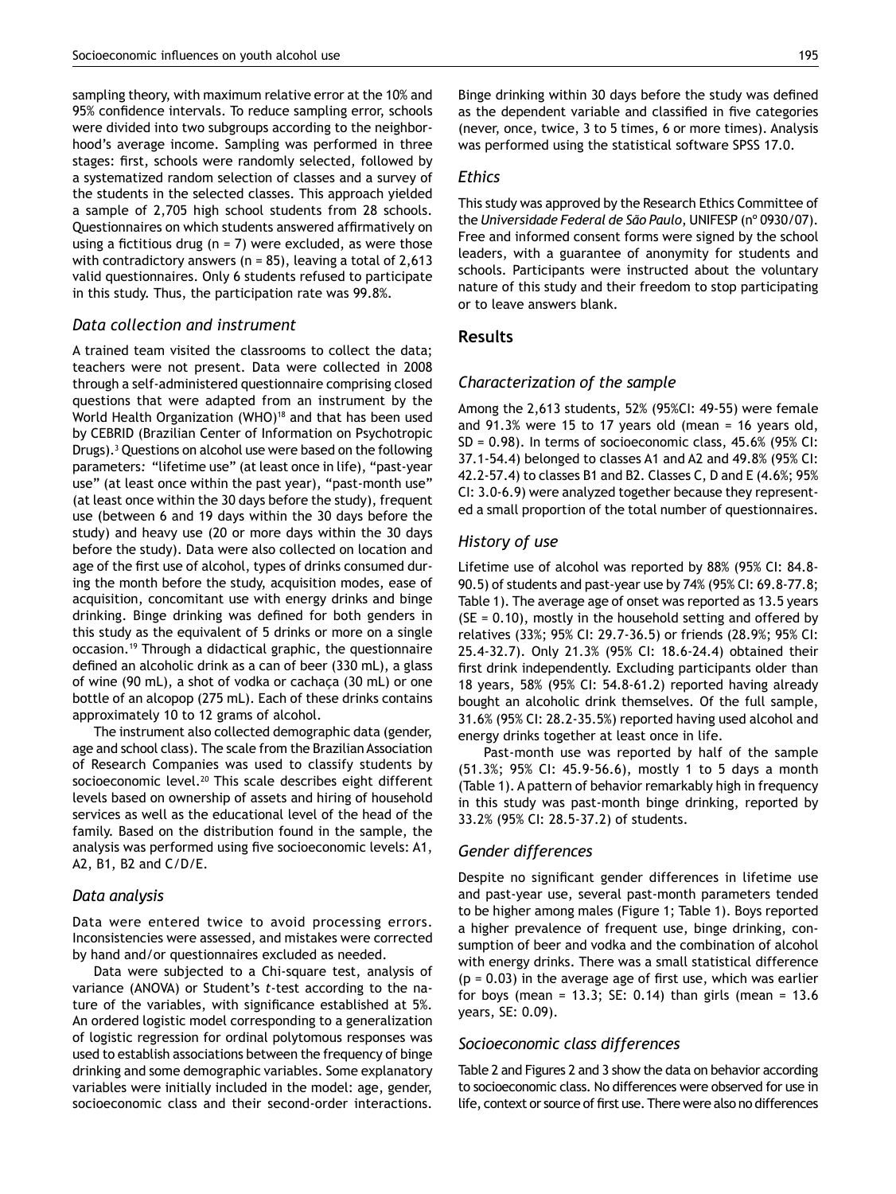sampling theory, with maximum relative error at the 10% and 95% confidence intervals. To reduce sampling error, schools were divided into two subgroups according to the neighborhood's average income. Sampling was performed in three stages: first, schools were randomly selected, followed by a systematized random selection of classes and a survey of the students in the selected classes. This approach yielded a sample of 2,705 high school students from 28 schools. Questionnaires on which students answered affirmatively on using a fictitious drug ( $n = 7$ ) were excluded, as were those with contradictory answers ( $n = 85$ ), leaving a total of 2,613 valid questionnaires. Only 6 students refused to participate in this study. Thus, the participation rate was 99.8%.

#### *Data collection and instrument*

A trained team visited the classrooms to collect the data; teachers were not present. Data were collected in 2008 through a self-administered questionnaire comprising closed questions that were adapted from an instrument by the World Health Organization (WHO)<sup>18</sup> and that has been used by CEBRID (Brazilian Center of Information on Psychotropic Drugs).3 Questions on alcohol use were based on the following parameters*:* "lifetime use" (at least once in life), "past-year use" (at least once within the past year), "past-month use" (at least once within the 30 days before the study), frequent use (between 6 and 19 days within the 30 days before the study) and heavy use (20 or more days within the 30 days before the study). Data were also collected on location and age of the first use of alcohol, types of drinks consumed during the month before the study, acquisition modes, ease of acquisition, concomitant use with energy drinks and binge drinking. Binge drinking was defined for both genders in this study as the equivalent of 5 drinks or more on a single occasion.19 Through a didactical graphic, the questionnaire defined an alcoholic drink as a can of beer (330 mL), a glass of wine (90 mL), a shot of vodka or cachaça (30 mL) or one bottle of an alcopop (275 mL). Each of these drinks contains approximately 10 to 12 grams of alcohol.

The instrument also collected demographic data (gender, age and school class). The scale from the Brazilian Association of Research Companies was used to classify students by socioeconomic level.<sup>20</sup> This scale describes eight different levels based on ownership of assets and hiring of household services as well as the educational level of the head of the family. Based on the distribution found in the sample, the analysis was performed using five socioeconomic levels: A1, A2, B1, B2 and C/D/E.

#### *Data analysis*

Data were entered twice to avoid processing errors. Inconsistencies were assessed, and mistakes were corrected by hand and/or questionnaires excluded as needed.

Data were subjected to a Chi-square test, analysis of variance (ANOVA) or Student's *t*-test according to the nature of the variables, with significance established at 5%. An ordered logistic model corresponding to a generalization of logistic regression for ordinal polytomous responses was used to establish associations between the frequency of binge drinking and some demographic variables. Some explanatory variables were initially included in the model: age, gender, socioeconomic class and their second-order interactions.

Binge drinking within 30 days before the study was defined as the dependent variable and classified in five categories (never, once, twice, 3 to 5 times, 6 or more times). Analysis was performed using the statistical software SPSS 17.0.

#### *Ethics*

This study was approved by the Research Ethics Committee of the *Universidade Federal de São Paulo*, UNIFESP (nº 0930/07). Free and informed consent forms were signed by the school leaders, with a guarantee of anonymity for students and schools. Participants were instructed about the voluntary nature of this study and their freedom to stop participating or to leave answers blank.

## **Results**

## *Characterization of the sample*

Among the 2,613 students, 52% (95%CI: 49-55) were female and 91.3% were 15 to 17 years old (mean = 16 years old, SD = 0.98). In terms of socioeconomic class, 45.6% (95% CI: 37.1-54.4) belonged to classes A1 and A2 and 49.8% (95% CI: 42.2-57.4) to classes B1 and B2. Classes C, D and E (4.6%; 95% CI: 3.0-6.9) were analyzed together because they represented a small proportion of the total number of questionnaires.

## *History of use*

Lifetime use of alcohol was reported by 88% (95% CI: 84.8- 90.5) of students and past-year use by 74% (95% CI: 69.8-77.8; Table 1). The average age of onset was reported as 13.5 years  $(SE = 0.10)$ , mostly in the household setting and offered by relatives (33%; 95% CI: 29.7-36.5) or friends (28.9%; 95% CI: 25.4-32.7). Only 21.3% (95% CI: 18.6-24.4) obtained their first drink independently. Excluding participants older than 18 years, 58% (95% CI: 54.8-61.2) reported having already bought an alcoholic drink themselves. Of the full sample, 31.6% (95% CI: 28.2-35.5%) reported having used alcohol and energy drinks together at least once in life.

Past-month use was reported by half of the sample (51.3%; 95% CI: 45.9-56.6), mostly 1 to 5 days a month (Table 1). A pattern of behavior remarkably high in frequency in this study was past-month binge drinking, reported by 33.2% (95% CI: 28.5-37.2) of students.

## *Gender differences*

Despite no significant gender differences in lifetime use and past-year use, several past-month parameters tended to be higher among males (Figure 1; Table 1). Boys reported a higher prevalence of frequent use, binge drinking, consumption of beer and vodka and the combination of alcohol with energy drinks. There was a small statistical difference  $(p = 0.03)$  in the average age of first use, which was earlier for boys (mean = 13.3; SE: 0.14) than girls (mean =  $13.6$ years, SE: 0.09).

#### *Socioeconomic class differences*

Table 2 and Figures 2 and 3 show the data on behavior according to socioeconomic class. No differences were observed for use in life, context or source of first use. There were also no differences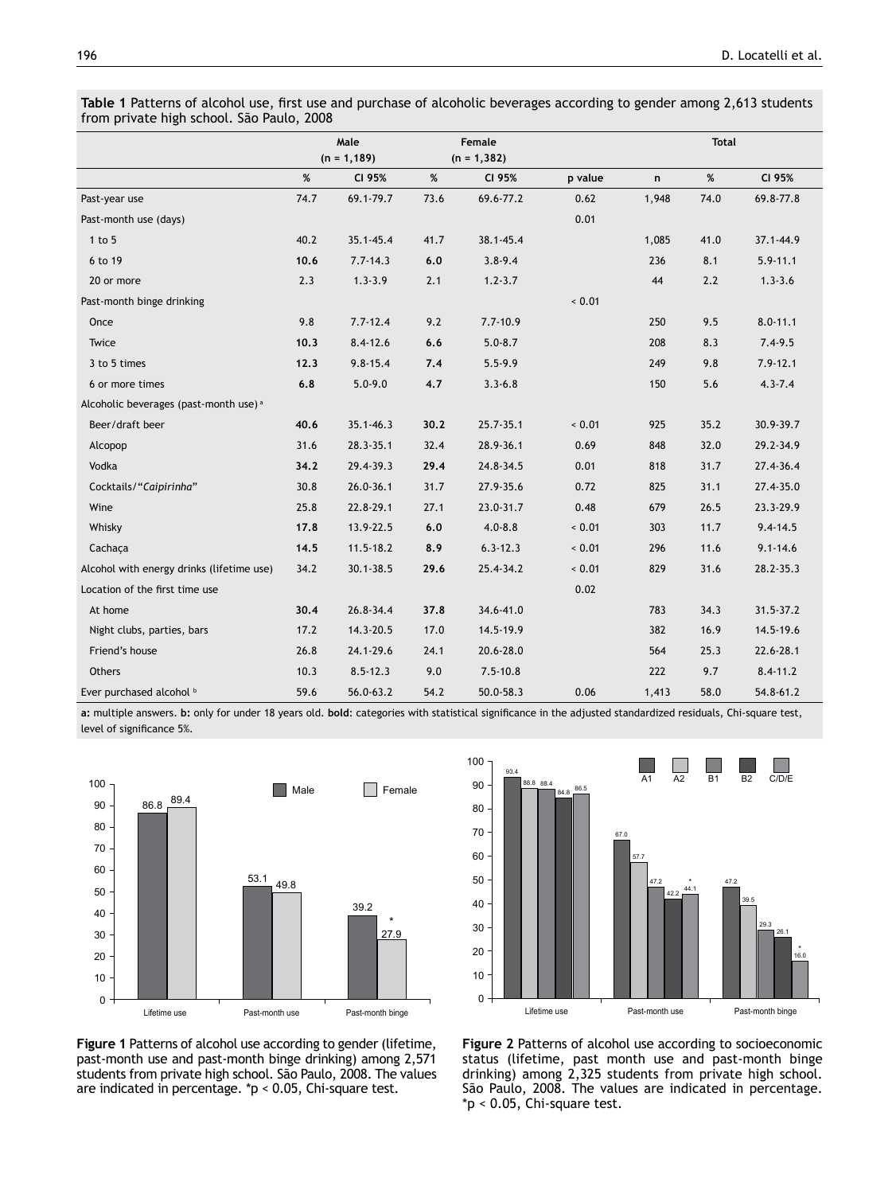**Table 1** Patterns of alcohol use, first use and purchase of alcoholic beverages according to gender among 2,613 students from private high school. São Paulo, 2008

|                                                   | Male |                |                | Female       |         | <b>Total</b> |      |              |
|---------------------------------------------------|------|----------------|----------------|--------------|---------|--------------|------|--------------|
|                                                   |      | $(n = 1, 189)$ | $(n = 1, 382)$ |              |         |              |      |              |
|                                                   | %    | CI 95%         | %              | CI 95%       | p value | n            | $\%$ | CI 95%       |
| Past-year use                                     | 74.7 | 69.1-79.7      | 73.6           | 69.6-77.2    | 0.62    | 1,948        | 74.0 | 69.8-77.8    |
| Past-month use (days)                             |      |                |                |              | 0.01    |              |      |              |
| $1$ to $5$                                        | 40.2 | 35.1-45.4      | 41.7           | 38.1-45.4    |         | 1,085        | 41.0 | 37.1-44.9    |
| 6 to 19                                           | 10.6 | $7.7 - 14.3$   | 6.0            | $3.8 - 9.4$  |         | 236          | 8.1  | $5.9 - 11.1$ |
| 20 or more                                        | 2.3  | $1.3 - 3.9$    | 2.1            | $1.2 - 3.7$  |         | 44           | 2.2  | $1.3 - 3.6$  |
| Past-month binge drinking                         |      |                |                |              | < 0.01  |              |      |              |
| Once                                              | 9.8  | $7.7 - 12.4$   | 9.2            | $7.7 - 10.9$ |         | 250          | 9.5  | $8.0 - 11.1$ |
| Twice                                             | 10.3 | $8.4 - 12.6$   | 6.6            | $5.0 - 8.7$  |         | 208          | 8.3  | $7.4 - 9.5$  |
| 3 to 5 times                                      | 12.3 | $9.8 - 15.4$   | 7.4            | $5.5 - 9.9$  |         | 249          | 9.8  | $7.9 - 12.1$ |
| 6 or more times                                   | 6.8  | $5.0 - 9.0$    | 4.7            | $3.3 - 6.8$  |         | 150          | 5.6  | $4.3 - 7.4$  |
| Alcoholic beverages (past-month use) <sup>a</sup> |      |                |                |              |         |              |      |              |
| Beer/draft beer                                   | 40.6 | $35.1 - 46.3$  | 30.2           | 25.7-35.1    | < 0.01  | 925          | 35.2 | 30.9-39.7    |
| Alcopop                                           | 31.6 | 28.3-35.1      | 32.4           | 28.9-36.1    | 0.69    | 848          | 32.0 | 29.2-34.9    |
| Vodka                                             | 34.2 | 29.4-39.3      | 29.4           | 24.8-34.5    | 0.01    | 818          | 31.7 | 27.4-36.4    |
| Cocktails/"Caipirinha"                            | 30.8 | $26.0 - 36.1$  | 31.7           | 27.9-35.6    | 0.72    | 825          | 31.1 | 27.4-35.0    |
| Wine                                              | 25.8 | 22.8-29.1      | 27.1           | 23.0-31.7    | 0.48    | 679          | 26.5 | 23.3-29.9    |
| Whisky                                            | 17.8 | 13.9-22.5      | 6.0            | $4.0 - 8.8$  | 0.01    | 303          | 11.7 | 9.4-14.5     |
| Cachaca                                           | 14.5 | $11.5 - 18.2$  | 8.9            | $6.3 - 12.3$ | 0.01    | 296          | 11.6 | $9.1 - 14.6$ |
| Alcohol with energy drinks (lifetime use)         | 34.2 | $30.1 - 38.5$  | 29.6           | 25.4-34.2    | < 0.01  | 829          | 31.6 | 28.2-35.3    |
| Location of the first time use                    |      |                |                |              | 0.02    |              |      |              |
| At home                                           | 30,4 | 26.8-34.4      | 37.8           | 34.6-41.0    |         | 783          | 34.3 | 31.5-37.2    |
| Night clubs, parties, bars                        | 17.2 | 14.3-20.5      | 17.0           | 14.5-19.9    |         | 382          | 16.9 | 14.5-19.6    |
| Friend's house                                    | 26.8 | 24.1-29.6      | 24.1           | 20.6-28.0    |         | 564          | 25.3 | 22.6-28.1    |
| <b>Others</b>                                     | 10.3 | $8.5 - 12.3$   | 9.0            | $7.5 - 10.8$ |         | 222          | 9.7  | $8.4 - 11.2$ |
| Ever purchased alcohol b                          | 59.6 | 56.0-63.2      | 54.2           | 50.0-58.3    | 0.06    | 1,413        | 58.0 | 54.8-61.2    |

**a:** multiple answers. **b:** only for under 18 years old. **bold**: categories with statistical significance in the adjusted standardized residuals, Chi-square test, level of significance 5%.





**Figure 1** Patterns of alcohol use according to gender (lifetime, past-month use and past-month binge drinking) among 2,571 students from private high school. São Paulo, 2008. The values are indicated in percentage. \*p < 0.05, Chi-square test.

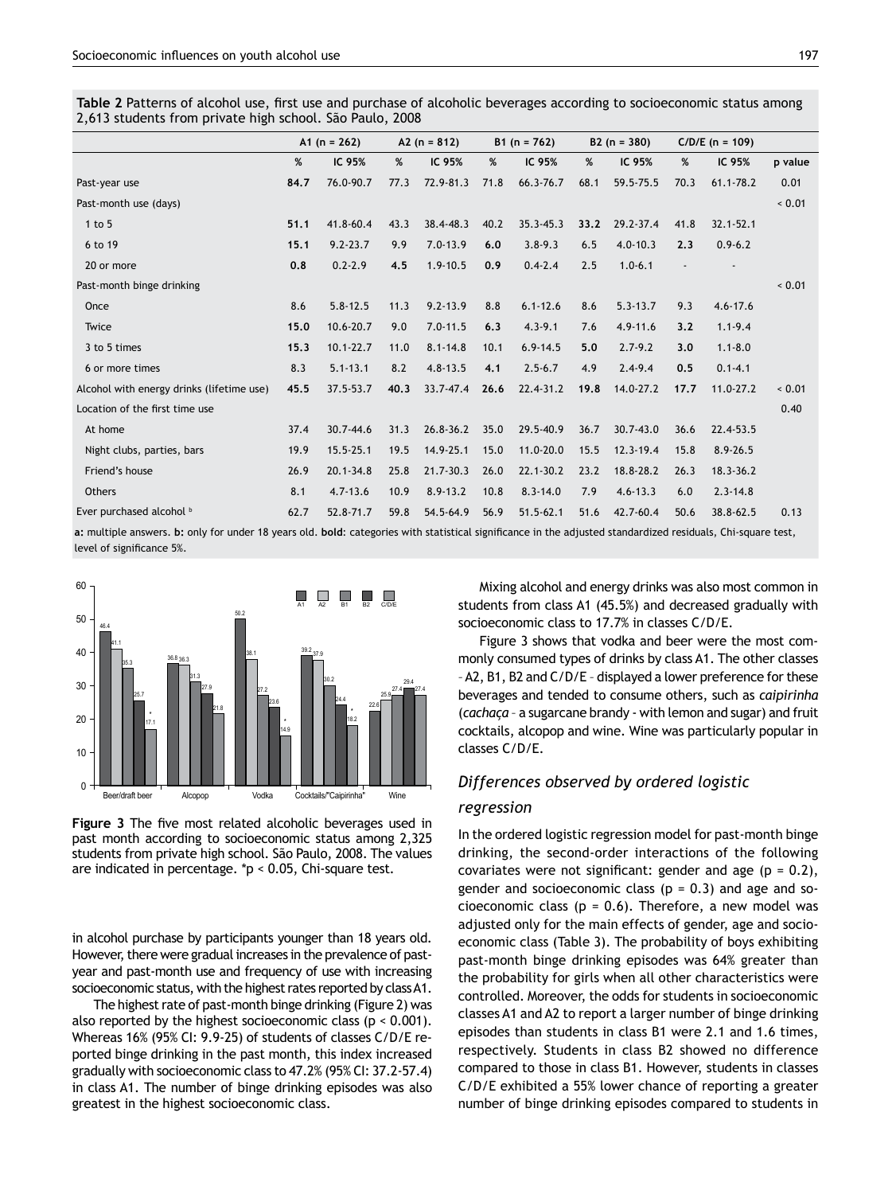**Table 2** Patterns of alcohol use, first use and purchase of alcoholic beverages according to socioeconomic status among 2,613 students from private high school. São Paulo, 2008

|                                                                                                                                                              | A1 ( $n = 262$ ) |               | A2 ( $n = 812$ ) |              | B1 ( $n = 762$ ) |               | $B2 (n = 380)$ |               | $C/D/E$ (n = 109) |               |         |
|--------------------------------------------------------------------------------------------------------------------------------------------------------------|------------------|---------------|------------------|--------------|------------------|---------------|----------------|---------------|-------------------|---------------|---------|
|                                                                                                                                                              | %                | IC 95%        | %                | IC 95%       | %                | IC 95%        | %              | IC 95%        | %                 | IC 95%        | p value |
| Past-year use                                                                                                                                                | 84.7             | 76.0-90.7     | 77.3             | 72.9-81.3    | 71.8             | 66.3-76.7     | 68.1           | 59.5-75.5     | 70.3              | $61.1 - 78.2$ | 0.01    |
| Past-month use (days)                                                                                                                                        |                  |               |                  |              |                  |               |                |               |                   |               | < 0.01  |
| 1 to 5                                                                                                                                                       | 51.1             | 41.8-60.4     | 43.3             | 38.4-48.3    | 40.2             | $35.3 - 45.3$ | 33.2           | 29.2-37.4     | 41.8              | $32.1 - 52.1$ |         |
| 6 to 19                                                                                                                                                      | 15.1             | $9.2 - 23.7$  | 9.9              | $7.0 - 13.9$ | 6.0              | $3.8 - 9.3$   | 6.5            | $4.0 - 10.3$  | 2.3               | $0.9 - 6.2$   |         |
| 20 or more                                                                                                                                                   | 0.8              | $0.2 - 2.9$   | 4.5              | $1.9 - 10.5$ | 0.9              | $0.4 - 2.4$   | 2.5            | $1.0 - 6.1$   |                   |               |         |
| Past-month binge drinking                                                                                                                                    |                  |               |                  |              |                  |               |                |               |                   |               | < 0.01  |
| Once                                                                                                                                                         | 8.6              | $5.8 - 12.5$  | 11.3             | $9.2 - 13.9$ | 8.8              | $6.1 - 12.6$  | 8.6            | $5.3 - 13.7$  | 9.3               | $4.6 - 17.6$  |         |
| Twice                                                                                                                                                        | 15.0             | 10.6-20.7     | 9.0              | $7.0 - 11.5$ | 6.3              | $4.3 - 9.1$   | 7.6            | $4.9 - 11.6$  | 3.2               | $1.1 - 9.4$   |         |
| 3 to 5 times                                                                                                                                                 | 15.3             | $10.1 - 22.7$ | 11.0             | $8.1 - 14.8$ | 10.1             | $6.9 - 14.5$  | 5.0            | $2.7 - 9.2$   | 3.0               | $1.1 - 8.0$   |         |
| 6 or more times                                                                                                                                              | 8.3              | $5.1 - 13.1$  | 8.2              | $4.8 - 13.5$ | 4.1              | $2.5 - 6.7$   | 4.9            | $2.4 - 9.4$   | 0.5               | $0.1 - 4.1$   |         |
| Alcohol with energy drinks (lifetime use)                                                                                                                    | 45.5             | 37.5-53.7     | 40.3             | 33.7-47.4    | 26.6             | 22.4-31.2     | 19.8           | 14.0-27.2     | 17.7              | $11.0 - 27.2$ | < 0.01  |
| Location of the first time use                                                                                                                               |                  |               |                  |              |                  |               |                |               |                   |               | 0.40    |
| At home                                                                                                                                                      | 37.4             | $30.7 - 44.6$ | 31.3             | 26.8-36.2    | 35.0             | 29.5-40.9     | 36.7           | $30.7 - 43.0$ | 36.6              | 22.4-53.5     |         |
| Night clubs, parties, bars                                                                                                                                   | 19.9             | $15.5 - 25.1$ | 19.5             | 14.9-25.1    | 15.0             | 11.0-20.0     | 15.5           | $12.3 - 19.4$ | 15.8              | $8.9 - 26.5$  |         |
| Friend's house                                                                                                                                               | 26.9             | $20.1 - 34.8$ | 25.8             | 21.7-30.3    | 26.0             | 22.1-30.2     | 23.2           | 18.8-28.2     | 26.3              | $18.3 - 36.2$ |         |
| <b>Others</b>                                                                                                                                                | 8.1              | $4.7 - 13.6$  | 10.9             | $8.9 - 13.2$ | 10.8             | $8.3 - 14.0$  | 7.9            | $4.6 - 13.3$  | 6.0               | $2.3 - 14.8$  |         |
| Ever purchased alcohol b                                                                                                                                     | 62.7             | 52.8-71.7     | 59.8             | 54.5-64.9    | 56.9             | $51.5 - 62.1$ | 51.6           | 42.7-60.4     | 50.6              | 38.8-62.5     | 0.13    |
| a; multiple answers. b; only for under 18 years old. bold: categories with statistical significance in the adjusted standardized residuals, Chi-square test, |                  |               |                  |              |                  |               |                |               |                   |               |         |

level of significance 5%.



**Figure 3** The five most related alcoholic beverages used in past month according to socioeconomic status among 2,325 students from private high school. São Paulo, 2008. The values are indicated in percentage. \*p < 0.05, Chi-square test.

in alcohol purchase by participants younger than 18 years old. However, there were gradual increases in the prevalence of pastyear and past-month use and frequency of use with increasing socioeconomic status, with the highest rates reported by class A1.

The highest rate of past-month binge drinking (Figure 2) was also reported by the highest socioeconomic class ( $p < 0.001$ ). Whereas 16% (95% CI: 9.9-25) of students of classes C/D/E reported binge drinking in the past month, this index increased gradually with socioeconomic class to 47.2% (95% CI: 37.2-57.4) in class A1. The number of binge drinking episodes was also greatest in the highest socioeconomic class.

Mixing alcohol and energy drinks was also most common in students from class A1 (45.5%) and decreased gradually with socioeconomic class to 17.7% in classes C/D/E.

Figure 3 shows that vodka and beer were the most commonly consumed types of drinks by class A1. The other classes – A2, B1, B2 and C/D/E – displayed a lower preference for these beverages and tended to consume others, such as *caipirinha* (*cachaça* – a sugarcane brandy - with lemon and sugar) and fruit cocktails, alcopop and wine. Wine was particularly popular in classes C/D/E.

## *Differences observed by ordered logistic*

#### *regression*

In the ordered logistic regression model for past-month binge drinking, the second-order interactions of the following covariates were not significant: gender and age ( $p = 0.2$ ), gender and socioeconomic class ( $p = 0.3$ ) and age and socioeconomic class ( $p = 0.6$ ). Therefore, a new model was adjusted only for the main effects of gender, age and socioeconomic class (Table 3). The probability of boys exhibiting past-month binge drinking episodes was 64% greater than the probability for girls when all other characteristics were controlled. Moreover, the odds for students in socioeconomic classes A1 and A2 to report a larger number of binge drinking episodes than students in class B1 were 2.1 and 1.6 times, respectively. Students in class B2 showed no difference compared to those in class B1. However, students in classes C/D/E exhibited a 55% lower chance of reporting a greater number of binge drinking episodes compared to students in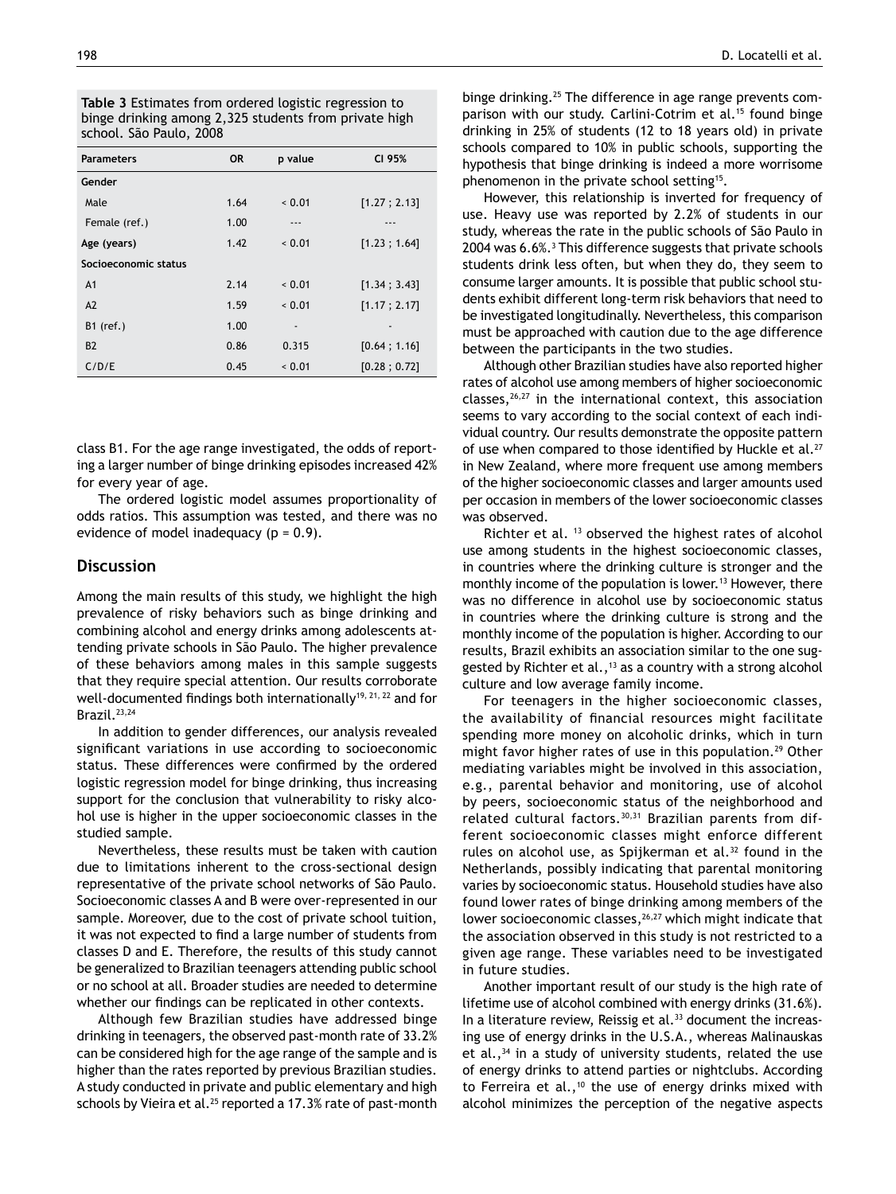| Table 3 Estimates from ordered logistic regression to |
|-------------------------------------------------------|
| binge drinking among 2,325 students from private high |
| school. São Paulo, 2008                               |

| <b>Parameters</b>    | <b>OR</b> | p value                      | CI 95%       |
|----------------------|-----------|------------------------------|--------------|
| Gender               |           |                              |              |
| Male                 | 1.64      | 0.01                         | [1.27; 2.13] |
| Female (ref.)        | 1.00      | ---                          |              |
| Age (years)          | 1.42      | 0.01                         | [1.23; 1.64] |
| Socioeconomic status |           |                              |              |
| A <sub>1</sub>       | 2.14      | 0.01                         | [1.34:3.43]  |
| A2                   | 1.59      | 0.01                         | [1.17; 2.17] |
| $B1$ (ref.)          | 1.00      | $\qquad \qquad \blacksquare$ |              |
| <b>B2</b>            | 0.86      | 0.315                        | [0.64; 1.16] |
| C/D/E                | 0.45      | < 0.01                       | [0.28; 0.72] |

class B1. For the age range investigated, the odds of reporting a larger number of binge drinking episodes increased 42% for every year of age.

The ordered logistic model assumes proportionality of odds ratios. This assumption was tested, and there was no evidence of model inadequacy  $(p = 0.9)$ .

## **Discussion**

Among the main results of this study, we highlight the high prevalence of risky behaviors such as binge drinking and combining alcohol and energy drinks among adolescents attending private schools in São Paulo. The higher prevalence of these behaviors among males in this sample suggests that they require special attention. Our results corroborate well-documented findings both internationally<sup>19, 21, 22</sup> and for Brazil.23,24

In addition to gender differences, our analysis revealed significant variations in use according to socioeconomic status. These differences were confirmed by the ordered logistic regression model for binge drinking, thus increasing support for the conclusion that vulnerability to risky alcohol use is higher in the upper socioeconomic classes in the studied sample.

Nevertheless, these results must be taken with caution due to limitations inherent to the cross-sectional design representative of the private school networks of São Paulo. Socioeconomic classes A and B were over-represented in our sample. Moreover, due to the cost of private school tuition, it was not expected to find a large number of students from classes D and E. Therefore, the results of this study cannot be generalized to Brazilian teenagers attending public school or no school at all. Broader studies are needed to determine whether our findings can be replicated in other contexts.

Although few Brazilian studies have addressed binge drinking in teenagers, the observed past-month rate of 33.2% can be considered high for the age range of the sample and is higher than the rates reported by previous Brazilian studies. A study conducted in private and public elementary and high schools by Vieira et al.<sup>25</sup> reported a 17.3% rate of past-month binge drinking.25 The difference in age range prevents comparison with our study. Carlini-Cotrim et al.<sup>15</sup> found binge drinking in 25% of students (12 to 18 years old) in private schools compared to 10% in public schools, supporting the hypothesis that binge drinking is indeed a more worrisome phenomenon in the private school setting15.

However, this relationship is inverted for frequency of use. Heavy use was reported by 2.2% of students in our study, whereas the rate in the public schools of São Paulo in 2004 was 6.6%.3 This difference suggests that private schools students drink less often, but when they do, they seem to consume larger amounts. It is possible that public school students exhibit different long-term risk behaviors that need to be investigated longitudinally. Nevertheless, this comparison must be approached with caution due to the age difference between the participants in the two studies.

Although other Brazilian studies have also reported higher rates of alcohol use among members of higher socioeconomic classes,26,27 in the international context, this association seems to vary according to the social context of each individual country. Our results demonstrate the opposite pattern of use when compared to those identified by Huckle et al.<sup>27</sup> in New Zealand, where more frequent use among members of the higher socioeconomic classes and larger amounts used per occasion in members of the lower socioeconomic classes was observed.

Richter et al. 13 observed the highest rates of alcohol use among students in the highest socioeconomic classes, in countries where the drinking culture is stronger and the monthly income of the population is lower.<sup>13</sup> However, there was no difference in alcohol use by socioeconomic status in countries where the drinking culture is strong and the monthly income of the population is higher. According to our results, Brazil exhibits an association similar to the one suggested by Richter et al., $13$  as a country with a strong alcohol culture and low average family income.

For teenagers in the higher socioeconomic classes, the availability of financial resources might facilitate spending more money on alcoholic drinks, which in turn might favor higher rates of use in this population.<sup>29</sup> Other mediating variables might be involved in this association, e.g., parental behavior and monitoring, use of alcohol by peers, socioeconomic status of the neighborhood and related cultural factors.<sup>30,31</sup> Brazilian parents from different socioeconomic classes might enforce different rules on alcohol use, as Spijkerman et al. $32$  found in the Netherlands, possibly indicating that parental monitoring varies by socioeconomic status. Household studies have also found lower rates of binge drinking among members of the lower socioeconomic classes,<sup>26,27</sup> which might indicate that the association observed in this study is not restricted to a given age range. These variables need to be investigated in future studies.

Another important result of our study is the high rate of lifetime use of alcohol combined with energy drinks (31.6%). In a literature review, Reissig et al.<sup>33</sup> document the increasing use of energy drinks in the U.S.A., whereas Malinauskas et al.,  $34$  in a study of university students, related the use of energy drinks to attend parties or nightclubs. According to Ferreira et al.,<sup>10</sup> the use of energy drinks mixed with alcohol minimizes the perception of the negative aspects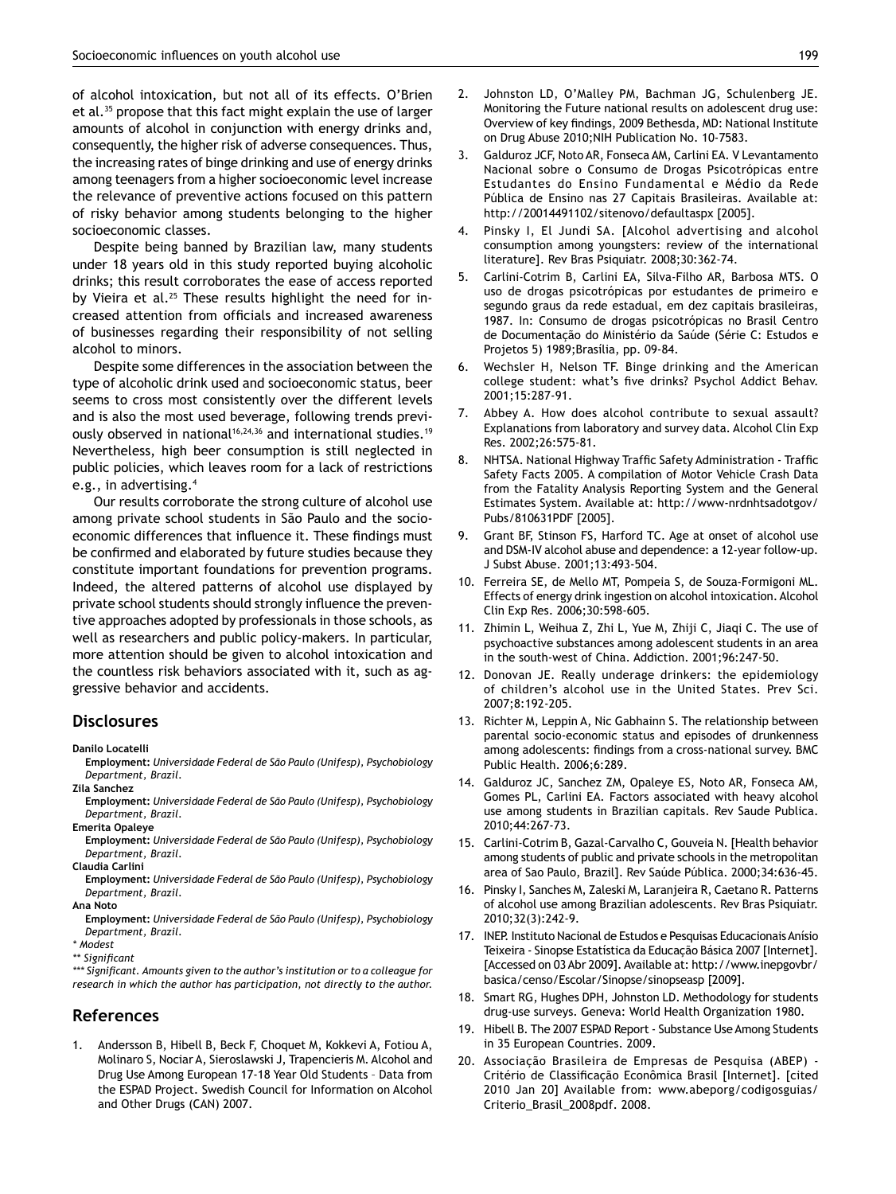of alcohol intoxication, but not all of its effects. O'Brien et al.35 propose that this fact might explain the use of larger amounts of alcohol in conjunction with energy drinks and, consequently, the higher risk of adverse consequences. Thus, the increasing rates of binge drinking and use of energy drinks among teenagers from a higher socioeconomic level increase the relevance of preventive actions focused on this pattern of risky behavior among students belonging to the higher socioeconomic classes.

Despite being banned by Brazilian law, many students under 18 years old in this study reported buying alcoholic drinks; this result corroborates the ease of access reported by Vieira et al.<sup>25</sup> These results highlight the need for increased attention from officials and increased awareness of businesses regarding their responsibility of not selling alcohol to minors.

Despite some differences in the association between the type of alcoholic drink used and socioeconomic status, beer seems to cross most consistently over the different levels and is also the most used beverage, following trends previously observed in national<sup>16,24,36</sup> and international studies.<sup>19</sup> Nevertheless, high beer consumption is still neglected in public policies, which leaves room for a lack of restrictions e.g., in advertising.4

Our results corroborate the strong culture of alcohol use among private school students in São Paulo and the socioeconomic differences that influence it. These findings must be confirmed and elaborated by future studies because they constitute important foundations for prevention programs. Indeed, the altered patterns of alcohol use displayed by private school students should strongly influence the preventive approaches adopted by professionals in those schools, as well as researchers and public policy-makers. In particular, more attention should be given to alcohol intoxication and the countless risk behaviors associated with it, such as aggressive behavior and accidents.

#### **Disclosures**

**Danilo Locatelli**

**Employment:** *Universidade Federal de São Paulo (Unifesp), Psychobiology Department, Brazil.*

**Zila Sanchez**

**Employment:** *Universidade Federal de São Paulo (Unifesp), Psychobiology Department, Brazil.*

**Emerita Opaleye**

**Employment:** *Universidade Federal de São Paulo (Unifesp), Psychobiology Department, Brazil.*

**Claudia Carlini**

**Employment:** *Universidade Federal de São Paulo (Unifesp), Psychobiology Department, Brazil.*

**Ana Noto**

**Employment:** *Universidade Federal de São Paulo (Unifesp), Psychobiology Department, Brazil.*

- *\* Modest*
- *\*\* Significant*

*\*\*\* Significant. Amounts given to the author's institution or to a colleague for research in which the author has participation, not directly to the author.*

## **References**

1. Andersson B, Hibell B, Beck F, Choquet M, Kokkevi A, Fotiou A, Molinaro S, Nociar A, Sieroslawski J, Trapencieris M. Alcohol and Drug Use Among European 17-18 Year Old Students – Data from the ESPAD Project. Swedish Council for Information on Alcohol and Other Drugs (CAN) 2007.

- 
- 2. Johnston LD, O'Malley PM, Bachman JG, Schulenberg JE. Monitoring the Future national results on adolescent drug use: Overview of key findings, 2009 Bethesda, MD: National Institute on Drug Abuse 2010;NIH Publication No. 10-7583.
- 3. Galduroz JCF, Noto AR, Fonseca AM, Carlini EA. V Levantamento Nacional sobre o Consumo de Drogas Psicotrópicas entre Estudantes do Ensino Fundamental e Médio da Rede Pública de Ensino nas 27 Capitais Brasileiras. Available at: http://20014491102/sitenovo/defaultaspx [2005].
- 4. Pinsky I, El Jundi SA. [Alcohol advertising and alcohol consumption among youngsters: review of the international literature]. Rev Bras Psiquiatr. 2008;30:362-74.
- 5. Carlini-Cotrim B, Carlini EA, Silva-Filho AR, Barbosa MTS. O uso de drogas psicotrópicas por estudantes de primeiro e segundo graus da rede estadual, em dez capitais brasileiras, 1987. In: Consumo de drogas psicotrópicas no Brasil Centro de Documentação do Ministério da Saúde (Série C: Estudos e Projetos 5) 1989;Brasília, pp. 09-84.
- 6. Wechsler H, Nelson TF. Binge drinking and the American college student: what's five drinks? Psychol Addict Behav. 2001;15:287-91.
- 7. Abbey A. How does alcohol contribute to sexual assault? Explanations from laboratory and survey data. Alcohol Clin Exp Res. 2002;26:575-81.
- 8. NHTSA. National Highway Traffic Safety Administration Traffic Safety Facts 2005. A compilation of Motor Vehicle Crash Data from the Fatality Analysis Reporting System and the General Estimates System. Available at: http://www-nrdnhtsadotgov/ Pubs/810631PDF [2005].
- 9. Grant BF, Stinson FS, Harford TC. Age at onset of alcohol use and DSM-IV alcohol abuse and dependence: a 12-year follow-up. J Subst Abuse. 2001;13:493-504.
- 10. Ferreira SE, de Mello MT, Pompeia S, de Souza-Formigoni ML. Effects of energy drink ingestion on alcohol intoxication. Alcohol Clin Exp Res. 2006;30:598-605.
- 11. Zhimin L, Weihua Z, Zhi L, Yue M, Zhiji C, Jiaqi C. The use of psychoactive substances among adolescent students in an area in the south-west of China. Addiction. 2001;96:247-50.
- 12. Donovan JE. Really underage drinkers: the epidemiology of children's alcohol use in the United States. Prev Sci. 2007;8:192-205.
- 13. Richter M, Leppin A, Nic Gabhainn S. The relationship between parental socio-economic status and episodes of drunkenness among adolescents: findings from a cross-national survey. BMC Public Health. 2006;6:289.
- 14. Galduroz JC, Sanchez ZM, Opaleye ES, Noto AR, Fonseca AM, Gomes PL, Carlini EA. Factors associated with heavy alcohol use among students in Brazilian capitals. Rev Saude Publica. 2010;44:267-73.
- 15. Carlini-Cotrim B, Gazal-Carvalho C, Gouveia N. [Health behavior among students of public and private schools in the metropolitan area of Sao Paulo, Brazil]. Rev Saúde Pública. 2000;34:636-45.
- 16. Pinsky I, Sanches M, Zaleski M, Laranjeira R, Caetano R. Patterns of alcohol use among Brazilian adolescents. Rev Bras Psiquiatr. 2010;32(3):242-9.
- 17. INEP. Instituto Nacional de Estudos e Pesquisas Educacionais Anísio Teixeira - Sinopse Estatística da Educação Básica 2007 [Internet]. [Accessed on 03 Abr 2009]. Available at: http://www.inepgovbr/ basica/censo/Escolar/Sinopse/sinopseasp [2009].
- 18. Smart RG, Hughes DPH, Johnston LD. Methodology for students drug-use surveys. Geneva: World Health Organization 1980.
- 19. Hibell B. The 2007 ESPAD Report Substance Use Among Students in 35 European Countries. 2009.
- 20. Associação Brasileira de Empresas de Pesquisa (ABEP) -Critério de Classificação Econômica Brasil [Internet]. [cited 2010 Jan 20] Available from: www.abeporg/codigosguias/ Criterio\_Brasil\_2008pdf. 2008.